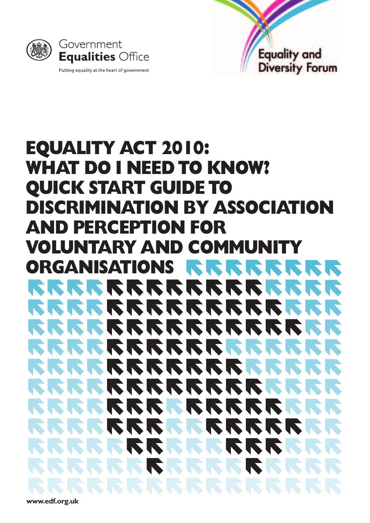



#### **EQUALITY ACT 2010: WHAT DO I NEED TO KNOW? QUICK START GUIDE TO DISCRIMINATION BY ASSOCIATION AND PERCEPTION FOR VOLUNTARY AND COMMUNIT ORGANISATIONS** KK KK K **INTERNATIONAL** SSSSSS K N KI **N** KK N N **NO.**  $\sqrt{2}$ N **N KI K** N.  $\boldsymbol{\nabla}$  .  $\sum$ SKRRK K **TANK** N **Kata K NO NO**  $\blacktriangleright$ N N N  $\blacktriangledown$  $\blacktriangledown$  $\mathbf{K}$

**[www.edf.org.uk](http://www.edf.org.uk)**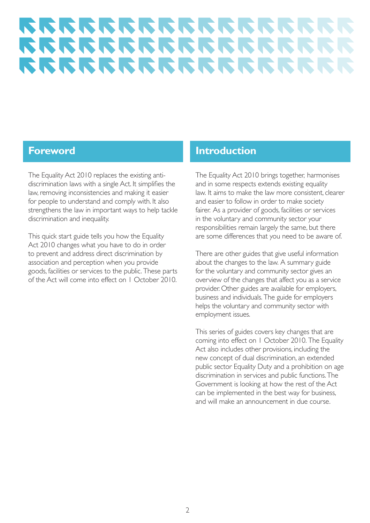# **RRRRRRRRRRRRR** RRRRRRRRRRRRR RRRRRRRRRRRRR

## **Foreword**

The Equality Act 2010 replaces the existing antidiscrimination laws with a single Act. It simplifies the law, removing inconsistencies and making it easier for people to understand and comply with. It also strengthens the law in important ways to help tackle discrimination and inequality.

This quick start guide tells you how the Equality Act 2010 changes what you have to do in order to prevent and address direct discrimination by association and perception when you provide goods, facilities or services to the public. These parts of the Act will come into effect on 1 October 2010.

## **Introduction**

The Equality Act 2010 brings together, harmonises and in some respects extends existing equality law. It aims to make the law more consistent, clearer and easier to follow in order to make society fairer. As a provider of goods, facilities or services in the voluntary and community sector your responsibilities remain largely the same, but there are some differences that you need to be aware of.

There are other guides that give useful information about the changes to the law. A summary guide for the voluntary and community sector gives an overview of the changes that affect you as a service provider. Other guides are available for employers, business and individuals. The guide for employers helps the voluntary and community sector with employment issues.

This series of guides covers key changes that are coming into effect on 1 October 2010. The Equality Act also includes other provisions, including the new concept of dual discrimination, an extended public sector Equality Duty and a prohibition on age discrimination in services and public functions.The Government is looking at how the rest of the Act can be implemented in the best way for business, and will make an announcement in due course.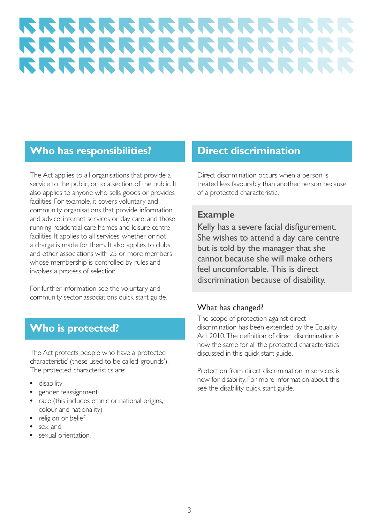# **RRRRRRRRRRRRR** RRRRRRRRRRRRR RRRRRRRRRRRRRR

## **Who has responsibilities?**

The Act applies to all organisations that provide a service to the public, or to a section of the public. It also applies to anyone who sells goods or provides facilities. For example, it covers voluntary and community organisations that provide information and advice, internet services or day care, and those running residential care homes and leisure centre facilities. It applies to all services, whether or not a charge is made for them. It also applies to clubs and other associations with 25 or more members whose membership is controlled by rules and involves a process of selection.

For further information see the voluntary and community sector associations quick start guide.

## **Who is protected?**

The Act protects people who have a 'protected characteristic' (these used to be called 'grounds'). The protected characteristics are:

- **•** disability
- **•** gender reassignment
- **•** race (this includes ethnic or national origins, colour and nationality)
- **•** religion or belief
- **•** sex, and
- **•** sexual orientation.

# **Direct discrimination**

Direct discrimination occurs when a person is treated less favourably than another person because of a protected characteristic.

### **Example**

Kelly has a severe facial disfigurement. She wishes to attend a day care centre but is told by the manager that she cannot because she will make others feel uncomfortable. This is direct discrimination because of disability.

#### What has changed?

The scope of protection against direct discrimination has been extended by the Equality Act 2010. The definition of direct discrimination is now the same for all the protected characteristics discussed in this quick start guide.

Protection from direct discrimination in services is new for disability. For more information about this, see the disability quick start guide.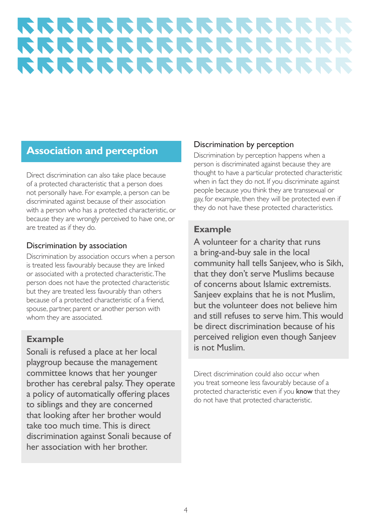# **RRRRRRRRRRRRRR** RRRRRRRRRRRRRR RRRRRRRRRRRRRRR

## **Association and perception**

Direct discrimination can also take place because of a protected characteristic that a person does not personally have. For example, a person can be discriminated against because of their association with a person who has a protected characteristic, or because they are wrongly perceived to have one, or are treated as if they do.

#### Discrimination by association

Discrimination by association occurs when a person is treated less favourably because they are linked or associated with a protected characteristic.The person does not have the protected characteristic but they are treated less favourably than others because of a protected characteristic of a friend, spouse, partner, parent or another person with whom they are associated.

### **Example**

Sonali is refused a place at her local playgroup because the management committee knows that her younger brother has cerebral palsy. They operate a policy of automatically offering places to siblings and they are concerned that looking after her brother would take too much time. This is direct discrimination against Sonali because of her association with her brother.

#### Discrimination by perception

Discrimination by perception happens when a person is discriminated against because they are thought to have a particular protected characteristic when in fact they do not. If you discriminate against people because you think they are transsexual or gay, for example, then they will be protected even if they do not have these protected characteristics.

### **Example**

A volunteer for a charity that runs a bring-and-buy sale in the local community hall tells Sanjeev, who is Sikh, that they don't serve Muslims because of concerns about Islamic extremists. Sanjeev explains that he is not Muslim, but the volunteer does not believe him and still refuses to serve him.This would be direct discrimination because of his perceived religion even though Sanjeev is not Muslim.

Direct discrimination could also occur when you treat someone less favourably because of a protected characteristic even if you know that they do not have that protected characteristic.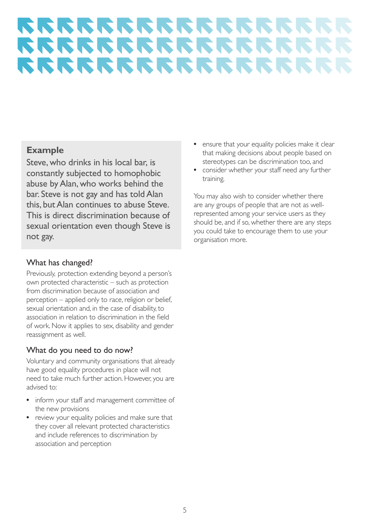# **RRRRRRRRRRRRRR**I RRRRRRRRRRRRRRR RRRRRRRRRRRRRRR

## **Example**

Steve, who drinks in his local bar, is constantly subjected to homophobic abuse by Alan, who works behind the bar. Steve is not gay and has told Alan this, but Alan continues to abuse Steve. This is direct discrimination because of sexual orientation even though Steve is not gay.

### What has changed?

Previously, protection extending beyond a person's own protected characteristic – such as protection from discrimination because of association and perception – applied only to race, religion or belief, sexual orientation and, in the case of disability, to association in relation to discrimination in the field of work. Now it applies to sex, disability and gender reassignment as well.

### What do you need to do now?

Voluntary and community organisations that already have good equality procedures in place will not need to take much further action. However, you are advised to:

- **•** inform your staff and management committee of the new provisions
- **•** review your equality policies and make sure that they cover all relevant protected characteristics and include references to discrimination by association and perception
- **•** ensure that your equality policies make it clear that making decisions about people based on stereotypes can be discrimination too, and
- **•** consider whether your staff need any further training.

You may also wish to consider whether there are any groups of people that are not as wellrepresented among your service users as they should be, and if so, whether there are any steps you could take to encourage them to use your organisation more.